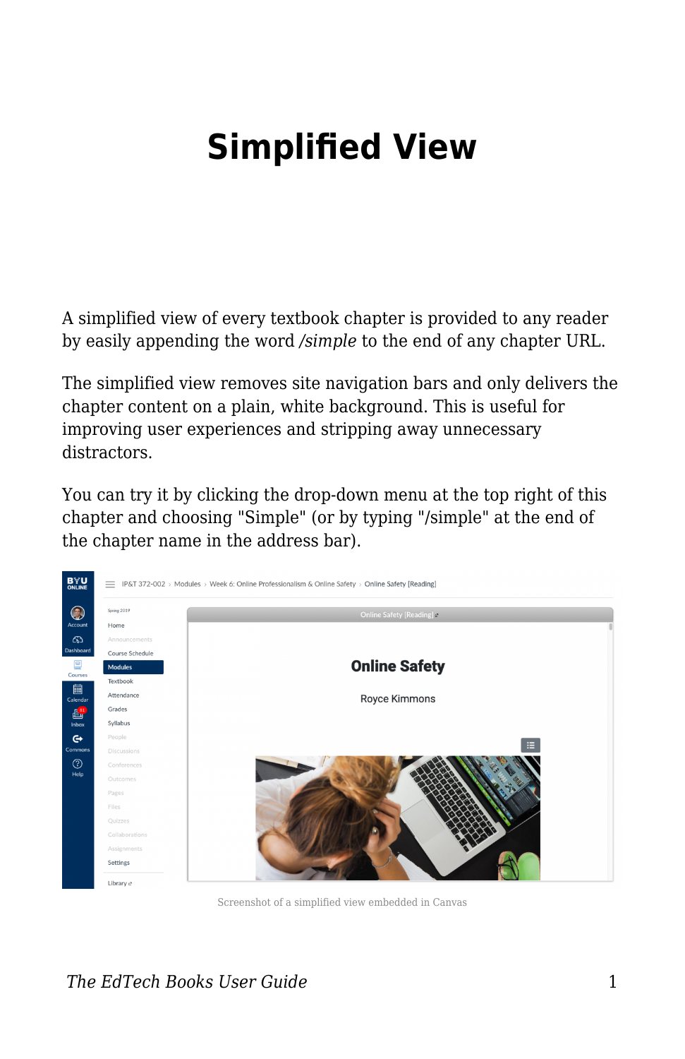## **Simplified View**

A simplified view of every textbook chapter is provided to any reader by easily appending the word */simple* to the end of any chapter URL.

The simplified view removes site navigation bars and only delivers the chapter content on a plain, white background. This is useful for improving user experiences and stripping away unnecessary distractors.

You can try it by clicking the drop-down menu at the top right of this chapter and choosing "Simple" (or by typing "/simple" at the end of the chapter name in the address bar).



Screenshot of a simplified view embedded in Canvas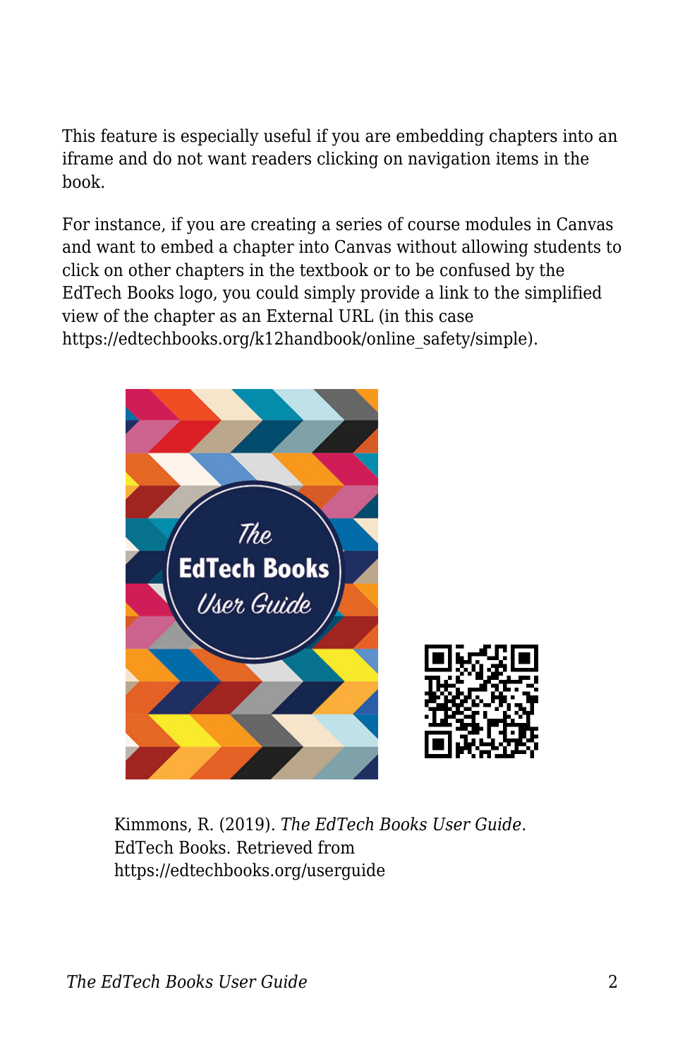This feature is especially useful if you are embedding chapters into an iframe and do not want readers clicking on navigation items in the book.

For instance, if you are creating a series of course modules in Canvas and want to embed a chapter into Canvas without allowing students to click on other chapters in the textbook or to be confused by the EdTech Books logo, you could simply provide a link to the simplified view of the chapter as an External URL (in this case https://edtechbooks.org/k12handbook/online\_safety/simple).



Kimmons, R. (2019). *The EdTech Books User Guide*. EdTech Books. Retrieved from https://edtechbooks.org/userguide